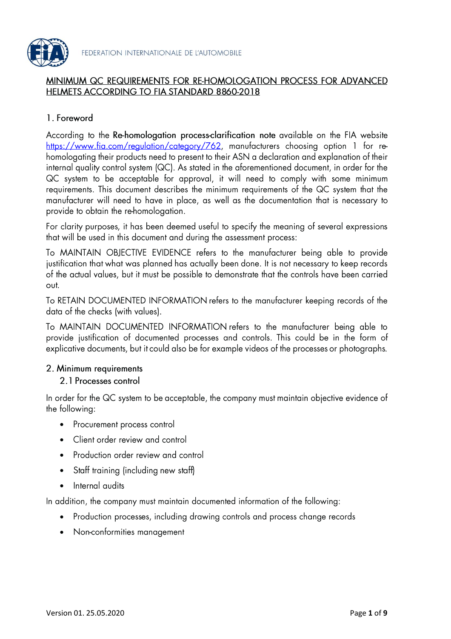

#### MINIMUM QC REQUIREMENTS FOR RE-HOMOLOGATION PROCESS FOR ADVANCED HELMETS ACCORDING TO FIA STANDARD 8860-2018

# 1. Foreword

According to the Re-homologation process-clarification note available on the FIA website https://www.fia.com/regulation/category/762, manufacturers choosing option 1 for rehomologating their products need to present to their ASN a declaration and explanation of their internal quality control system (QC). As stated in the aforementioned document, in order for the QC system to be acceptable for approval, it will need to comply with some minimum requirements. This document describes the minimum requirements of the QC system that the manufacturer will need to have in place, as well as the documentation that is necessary to provide to obtain the re-homologation.

For clarity purposes, it has been deemed useful to specify the meaning of several expressions that will be used in this document and during the assessment process:

To MAINTAIN OBJECTIVE EVIDENCE refers to the manufacturer being able to provide justification that what was planned has actually been done. It is not necessary to keep records of the actual values, but it must be possible to demonstrate that the controls have been carried out.

To RETAIN DOCUMENTED INFORMATION refers to the manufacturer keeping records of the data of the checks (with values).

To MAINTAIN DOCUMENTED INFORMATION refers to the manufacturer being able to provide justification of documented processes and controls. This could be in the form of explicative documents, but it could also be for example videos of the processes or photographs.

#### 2. Minimum requirements

#### 2.1 Processes control

In order for the QC system to be acceptable, the company must maintain objective evidence of the following:

- Procurement process control
- Client order review and control •
- Production order review and control •
- Staff training (including new staff) •
- Internal audits •

In addition, the company must maintain documented information of the following:

- Production processes, including drawing controls and process change records •
- Non-conformities management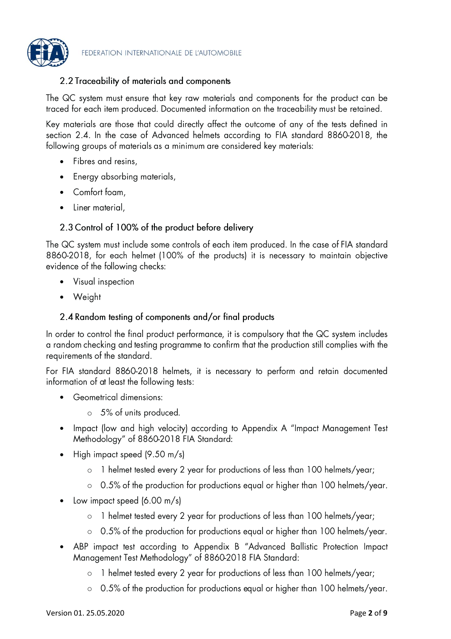

#### 2.2 Traceability of materials and components

The QC system must ensure that key raw materials and components for the product can be traced for each item produced. Documented information on the traceability must be retained.

Key materials are those that could directly affect the outcome of any of the tests defined in section 2.4. In the case of Advanced helmets according to FIA standard 8860-2018, the following groups of materials as a minimum are considered key materials:

- Fibres and resins,
- Energy absorbing materials, •
- Comfort foam, •
- Liner material, •

#### 2.3 Control of 100% of the product before delivery

The QC system must include some controls of each item produced. In the case of FIA standard 8860-2018, for each helmet (100% of the products) it is necessary to maintain objective evidence of the following checks:

- Visual inspection •
- Weight

#### 2.4 Random testing of components and/or final products

In order to control the final product performance, it is compulsory that the QC system includes a random checking and testing programme to confirm that the production still complies with the requirements of the standard.

For FIA standard 8860-2018 helmets, it is necessary to perform and retain documented information of at least the following tests:

- Geometrical dimensions:
	- 5% of units produced. o
- Impact (low and high velocity) according to Appendix A "Impact Management Test • Methodology" of 8860-2018 FIA Standard:
- High impact speed  $(9.50 \text{ m/s})$ •
	- 1 helmet tested every 2 year for productions of less than 100 helmets/year; o
	- o 0.5% of the production for productions equal or higher than 100 helmets/year.
- Low impact speed  $(6.00 \text{ m/s})$ •
	- 1 helmet tested every 2 year for productions of less than 100 helmets/year; o
	- 0.5% of the production for productions equal or higher than 100 helmets/year. o
- ABP impact test according to Appendix B "Advanced Ballistic Protection Impact • Management Test Methodology" of 8860-2018 FIA Standard:
	- 1 helmet tested every 2 year for productions of less than 100 helmets/year; o
	- 0.5% of the production for productions equal or higher than 100 helmets/year. o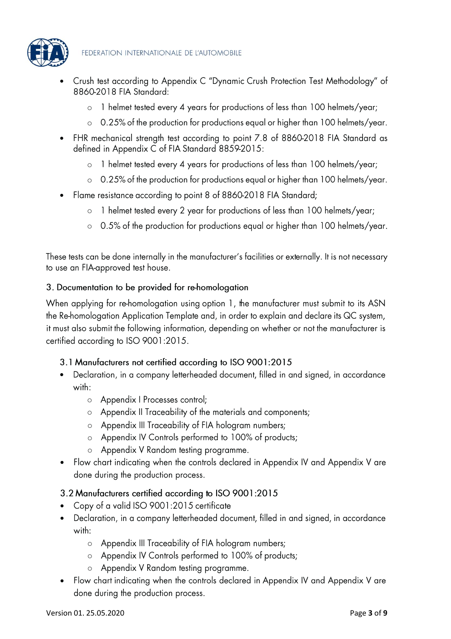

- Crush test according to Appendix C "Dynamic Crush Protection Test Methodology" of • 8860-2018 FIA Standard:
	- 1 helmet tested every 4 years for productions of less than 100 helmets/year; o
	- 0.25% of the production for productions equal or higher than 100 helmets/year. o
- FHR mechanical strength test according to point 7.8 of 8860-2018 FIA Standard as • defined in Appendix C of FIA Standard 8859-2015:
	- 1 helmet tested every 4 years for productions of less than 100 helmets/year; o
	- 0.25% of the production for productions equal or higher than 100 helmets/year. o
- Flame resistance according to point 8 of 8860-2018 FIA Standard; •
	- 1 helmet tested every 2 year for productions of less than 100 helmets/year; o
	- 0.5% of the production for productions equal or higher than 100 helmets/year. o

These tests can be done internally in the manufacturer's facilities or externally. It is not necessary to use an FIA-approved test house.

# 3. Documentation to be provided for re-homologation

When applying for re-homologation using option 1, the manufacturer must submit to its ASN the Re-homologation Application Template and, in order to explain and declare its QC system, it must also submit the following information, depending on whether or not the manufacturer is certified according to ISO 9001:2015.

# 3.1 Manufacturers not certified according to ISO 9001:2015

- Declaration, in a company letterheaded document, filled in and signed, in accordance • with:
	- o Appendix I Processes control;
	- o Appendix II Traceability of the materials and components;
	- o Appendix III Traceability of FIA hologram numbers;
	- o Appendix IV Controls performed to 100% of products;
	- Appendix V Random testing programme. o
- Flow chart indicating when the controls declared in Appendix IV and Appendix V are • done during the production process.

# 3.2 Manufacturers certified according to ISO 9001:2015

- Copy of a valid ISO 9001:2015 certificate •
- Declaration, in a company letterheaded document, filled in and signed, in accordance • with:
	- Appendix III Traceability of FIA hologram numbers; o
	- Appendix IV Controls performed to 100% of products; o
	- o Appendix V Random testing programme.
- Flow chart indicating when the controls declared in Appendix IV and Appendix V are done during the production process.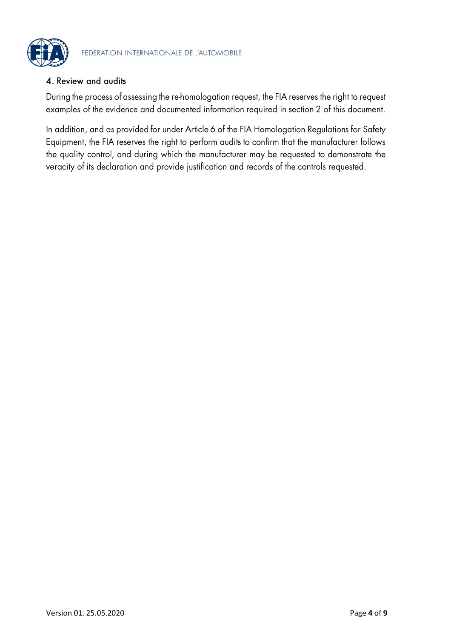

### 4. Review and audits

During the process of assessing the re-homologation request, the FIA reserves the right to request examples of the evidence and documented information required in section 2 of this document.

In addition, and as provided for under Article 6 of the FIA Homologation Regulations for Safety Equipment, the FIA reserves the right to perform audits to confirm that the manufacturer follows the quality control, and during which the manufacturer may be requested to demonstrate the veracity of its declaration and provide justification and records of the controls requested.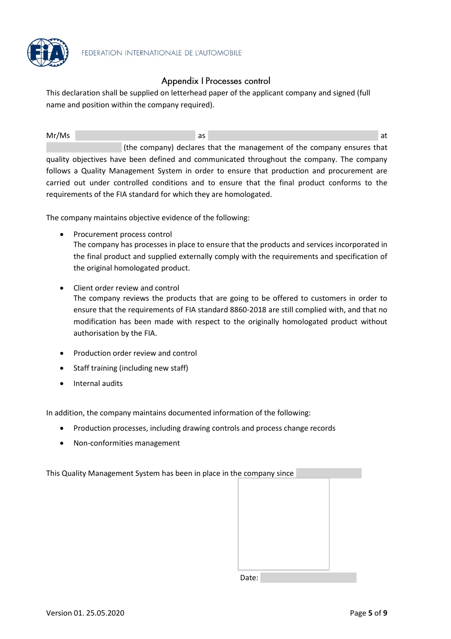

### Appendix | Processes control

This declaration shall be supplied on letterhead paper of the applicant company and signed (full name and position within the company required).

Mr/Ms and the contract of the contract of the contract of the contract of the contract of the contract of the contract of the contract of the contract of the contract of the contract of the contract of the contract of the (the company) declares that the management of the company ensures that quality objectives have been defined and communicated throughout the company. The company follows a Quality Management System in order to ensure that production and procurement are carried out under controlled conditions and to ensure that the final product conforms to the requirements of the FIA standard for which they are homologated.

The company maintains objective evidence of the following:

- Procurement process control The company has processes in place to ensure that the products and services incorporated in the final product and supplied externally comply with the requirements and specification of the original homologated product.
- Client order review and control The company reviews the products that are going to be offered to customers in order to ensure that the requirements of FIA standard 8860-2018 are still complied with, and that no modification has been made with respect to the originally homologated product without authorisation by the FIA.
- Production order review and control
- Staff training (including new staff)
- Internal audits

In addition, the company maintains documented information of the following:

- Production processes, including drawing controls and process change records
- Non-conformities management

This Quality Management System has been in place in the company since

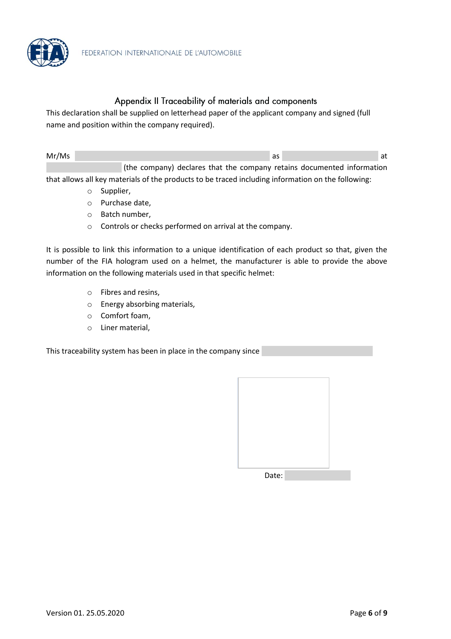

#### Appendix II Traceability of materials and components

This declaration shall be supplied on letterhead paper of the applicant company and signed (full name and position within the company required).

| Mr/Ms |                                                                        |  | as |  | at |
|-------|------------------------------------------------------------------------|--|----|--|----|
|       | (the company) declares that the company retains documented information |  |    |  |    |

that allows all key materials of the products to be traced including information on the following:

- o Supplier,
- o Purchase date,
- o Batch number,
- o Controls or checks performed on arrival at the company.

It is possible to link this information to a unique identification of each product so that, given the number of the FIA hologram used on a helmet, the manufacturer is able to provide the above information on the following materials used in that specific helmet:

- o Fibres and resins,
- o Energy absorbing materials,
- o Comfort foam,
- o Liner material,

This traceability system has been in place in the company since

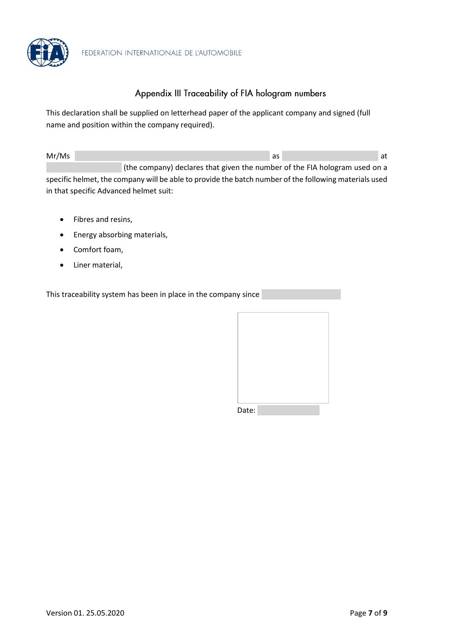

# Appendix III Traceability of FIA hologram numbers

This declaration shall be supplied on letterhead paper of the applicant company and signed (full name and position within the company required).

| Mr/Ms |                                                                            | as | at |
|-------|----------------------------------------------------------------------------|----|----|
|       | (the company) declares that given the number of the FIA hologram used on a |    |    |

specific helmet, the company will be able to provide the batch number of the following materials used in that specific Advanced helmet suit:

- Fibres and resins,
- Energy absorbing materials,
- Comfort foam,
- Liner material,

This traceability system has been in place in the company since

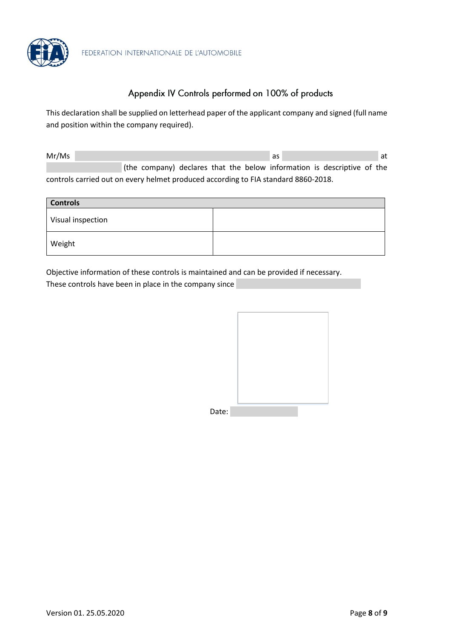

# Appendix IV Controls performed on 100% of products

This declaration shall be supplied on letterhead paper of the applicant company and signed (full name and position within the company required).

Mr/Ms and the contract of the contract of the contract of the contract of the contract of the contract of the contract of the contract of the contract of the contract of the contract of the contract of the contract of the (the company) declares that the below information is descriptive of the controls carried out on every helmet produced according to FIA standard 8860-2018.

| <b>Controls</b>   |  |  |  |
|-------------------|--|--|--|
| Visual inspection |  |  |  |
| Weight            |  |  |  |

Objective information of these controls is maintained and can be provided if necessary.

These controls have been in place in the company since

| Date: |  |
|-------|--|
|       |  |
|       |  |